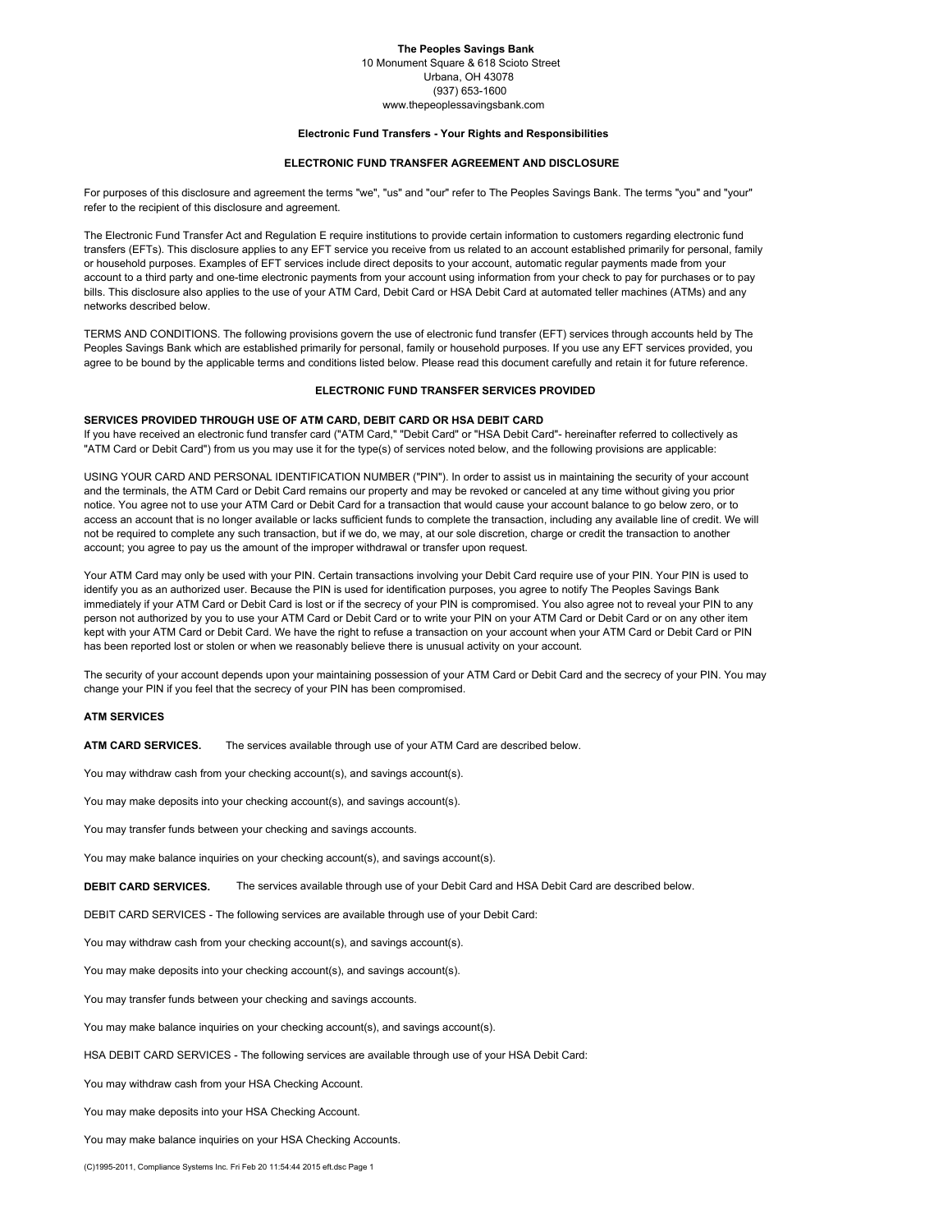# **The Peoples Savings Bank**

10 Monument Square & 618 Scioto Street Urbana, OH 43078 (937) 653-1600

www.thepeoplessavingsbank.com

### **Electronic Fund Transfers - Your Rights and Responsibilities**

## **ELECTRONIC FUND TRANSFER AGREEMENT AND DISCLOSURE**

For purposes of this disclosure and agreement the terms "we", "us" and "our" refer to The Peoples Savings Bank. The terms "you" and "your" refer to the recipient of this disclosure and agreement.

The Electronic Fund Transfer Act and Regulation E require institutions to provide certain information to customers regarding electronic fund transfers (EFTs). This disclosure applies to any EFT service you receive from us related to an account established primarily for personal, family or household purposes. Examples of EFT services include direct deposits to your account, automatic regular payments made from your account to a third party and one-time electronic payments from your account using information from your check to pay for purchases or to pay bills. This disclosure also applies to the use of your ATM Card, Debit Card or HSA Debit Card at automated teller machines (ATMs) and any networks described below.

TERMS AND CONDITIONS. The following provisions govern the use of electronic fund transfer (EFT) services through accounts held by The Peoples Savings Bank which are established primarily for personal, family or household purposes. If you use any EFT services provided, you agree to be bound by the applicable terms and conditions listed below. Please read this document carefully and retain it for future reference.

### **ELECTRONIC FUND TRANSFER SERVICES PROVIDED**

# **SERVICES PROVIDED THROUGH USE OF ATM CARD, DEBIT CARD OR HSA DEBIT CARD**

If you have received an electronic fund transfer card ("ATM Card," "Debit Card" or "HSA Debit Card"- hereinafter referred to collectively as "ATM Card or Debit Card") from us you may use it for the type(s) of services noted below, and the following provisions are applicable:

USING YOUR CARD AND PERSONAL IDENTIFICATION NUMBER ("PIN"). In order to assist us in maintaining the security of your account and the terminals, the ATM Card or Debit Card remains our property and may be revoked or canceled at any time without giving you prior notice. You agree not to use your ATM Card or Debit Card for a transaction that would cause your account balance to go below zero, or to access an account that is no longer available or lacks sufficient funds to complete the transaction, including any available line of credit. We will not be required to complete any such transaction, but if we do, we may, at our sole discretion, charge or credit the transaction to another account; you agree to pay us the amount of the improper withdrawal or transfer upon request.

Your ATM Card may only be used with your PIN. Certain transactions involving your Debit Card require use of your PIN. Your PIN is used to identify you as an authorized user. Because the PIN is used for identification purposes, you agree to notify The Peoples Savings Bank immediately if your ATM Card or Debit Card is lost or if the secrecy of your PIN is compromised. You also agree not to reveal your PIN to any person not authorized by you to use your ATM Card or Debit Card or to write your PIN on your ATM Card or Debit Card or on any other item kept with your ATM Card or Debit Card. We have the right to refuse a transaction on your account when your ATM Card or Debit Card or PIN has been reported lost or stolen or when we reasonably believe there is unusual activity on your account.

The security of your account depends upon your maintaining possession of your ATM Card or Debit Card and the secrecy of your PIN. You may change your PIN if you feel that the secrecy of your PIN has been compromised.

## **ATM SERVICES**

**ATM CARD SERVICES.** The services available through use of your ATM Card are described below.

You may withdraw cash from your checking account(s), and savings account(s).

You may make deposits into your checking account(s), and savings account(s).

You may transfer funds between your checking and savings accounts.

You may make balance inquiries on your checking account(s), and savings account(s).

**DEBIT CARD SERVICES.** The services available through use of your Debit Card and HSA Debit Card are described below.

DEBIT CARD SERVICES - The following services are available through use of your Debit Card:

You may withdraw cash from your checking account(s), and savings account(s).

You may make deposits into your checking account(s), and savings account(s).

You may transfer funds between your checking and savings accounts.

You may make balance inquiries on your checking account(s), and savings account(s).

HSA DEBIT CARD SERVICES - The following services are available through use of your HSA Debit Card:

You may withdraw cash from your HSA Checking Account.

You may make deposits into your HSA Checking Account.

You may make balance inquiries on your HSA Checking Accounts.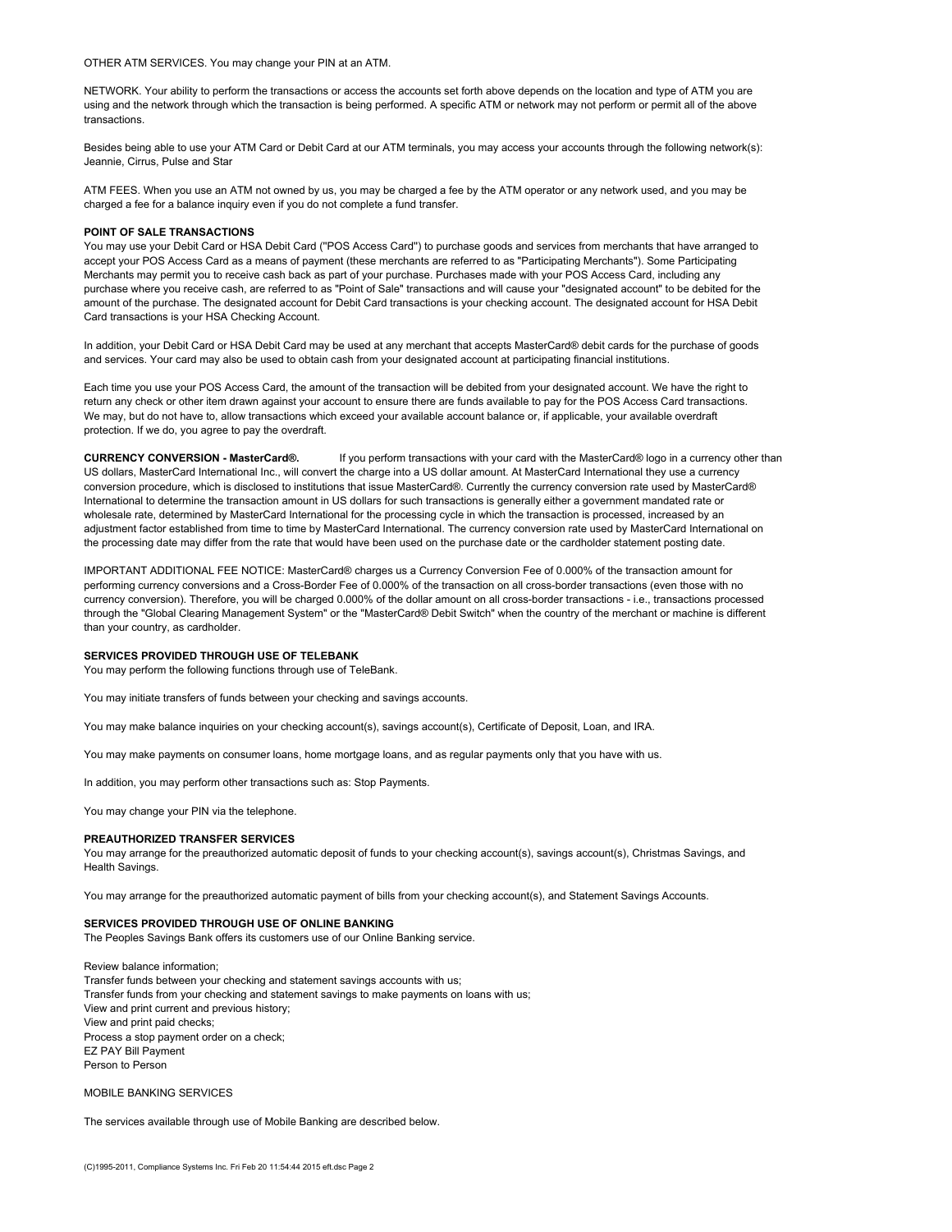OTHER ATM SERVICES. You may change your PIN at an ATM.

NETWORK. Your ability to perform the transactions or access the accounts set forth above depends on the location and type of ATM you are using and the network through which the transaction is being performed. A specific ATM or network may not perform or permit all of the above transactions.

Besides being able to use your ATM Card or Debit Card at our ATM terminals, you may access your accounts through the following network(s): Jeannie, Cirrus, Pulse and Star

ATM FEES. When you use an ATM not owned by us, you may be charged a fee by the ATM operator or any network used, and you may be charged a fee for a balance inquiry even if you do not complete a fund transfer.

#### **POINT OF SALE TRANSACTIONS**

You may use your Debit Card or HSA Debit Card (''POS Access Card'') to purchase goods and services from merchants that have arranged to accept your POS Access Card as a means of payment (these merchants are referred to as "Participating Merchants"). Some Participating Merchants may permit you to receive cash back as part of your purchase. Purchases made with your POS Access Card, including any purchase where you receive cash, are referred to as "Point of Sale" transactions and will cause your "designated account" to be debited for the amount of the purchase. The designated account for Debit Card transactions is your checking account. The designated account for HSA Debit Card transactions is your HSA Checking Account.

In addition, your Debit Card or HSA Debit Card may be used at any merchant that accepts MasterCard® debit cards for the purchase of goods and services. Your card may also be used to obtain cash from your designated account at participating financial institutions.

Each time you use your POS Access Card, the amount of the transaction will be debited from your designated account. We have the right to return any check or other item drawn against your account to ensure there are funds available to pay for the POS Access Card transactions. We may, but do not have to, allow transactions which exceed your available account balance or, if applicable, your available overdraft protection. If we do, you agree to pay the overdraft.

**CURRENCY CONVERSION - MasterCard®.** If you perform transactions with your card with the MasterCard® logo in a currency other than US dollars, MasterCard International Inc., will convert the charge into a US dollar amount. At MasterCard International they use a currency conversion procedure, which is disclosed to institutions that issue MasterCard®. Currently the currency conversion rate used by MasterCard® International to determine the transaction amount in US dollars for such transactions is generally either a government mandated rate or wholesale rate, determined by MasterCard International for the processing cycle in which the transaction is processed, increased by an adjustment factor established from time to time by MasterCard International. The currency conversion rate used by MasterCard International on the processing date may differ from the rate that would have been used on the purchase date or the cardholder statement posting date.

IMPORTANT ADDITIONAL FEE NOTICE: MasterCard® charges us a Currency Conversion Fee of 0.000% of the transaction amount for performing currency conversions and a Cross-Border Fee of 0.000% of the transaction on all cross-border transactions (even those with no currency conversion). Therefore, you will be charged 0.000% of the dollar amount on all cross-border transactions - i.e., transactions processed through the "Global Clearing Management System" or the "MasterCard® Debit Switch" when the country of the merchant or machine is different than your country, as cardholder.

#### **SERVICES PROVIDED THROUGH USE OF TELEBANK**

You may perform the following functions through use of TeleBank.

You may initiate transfers of funds between your checking and savings accounts.

You may make balance inquiries on your checking account(s), savings account(s), Certificate of Deposit, Loan, and IRA.

You may make payments on consumer loans, home mortgage loans, and as regular payments only that you have with us.

In addition, you may perform other transactions such as: Stop Payments.

You may change your PIN via the telephone.

### **PREAUTHORIZED TRANSFER SERVICES**

You may arrange for the preauthorized automatic deposit of funds to your checking account(s), savings account(s), Christmas Savings, and Health Savings.

You may arrange for the preauthorized automatic payment of bills from your checking account(s), and Statement Savings Accounts.

# **SERVICES PROVIDED THROUGH USE OF ONLINE BANKING**

The Peoples Savings Bank offers its customers use of our Online Banking service.

Review balance information; Transfer funds between your checking and statement savings accounts with us; Transfer funds from your checking and statement savings to make payments on loans with us; View and print current and previous history; View and print paid checks; Process a stop payment order on a check; EZ PAY Bill Payment Person to Person

MOBILE BANKING SERVICES

The services available through use of Mobile Banking are described below.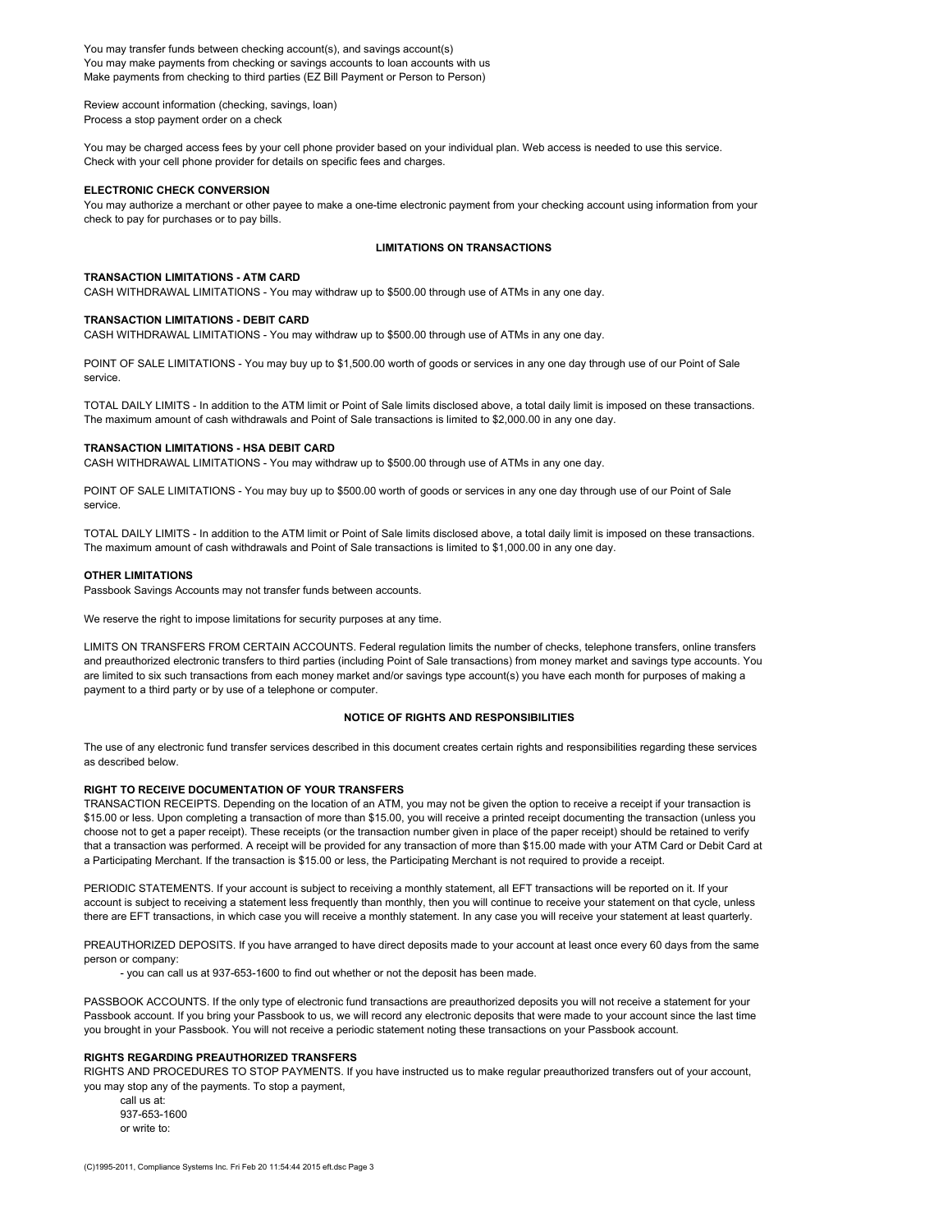You may transfer funds between checking account(s), and savings account(s) You may make payments from checking or savings accounts to loan accounts with us Make payments from checking to third parties (EZ Bill Payment or Person to Person)

Review account information (checking, savings, loan) Process a stop payment order on a check

You may be charged access fees by your cell phone provider based on your individual plan. Web access is needed to use this service. Check with your cell phone provider for details on specific fees and charges.

## **ELECTRONIC CHECK CONVERSION**

You may authorize a merchant or other payee to make a one-time electronic payment from your checking account using information from your check to pay for purchases or to pay bills.

### **LIMITATIONS ON TRANSACTIONS**

## **TRANSACTION LIMITATIONS - ATM CARD**

CASH WITHDRAWAL LIMITATIONS - You may withdraw up to \$500.00 through use of ATMs in any one day.

# **TRANSACTION LIMITATIONS - DEBIT CARD**

CASH WITHDRAWAL LIMITATIONS - You may withdraw up to \$500.00 through use of ATMs in any one day.

POINT OF SALE LIMITATIONS - You may buy up to \$1,500.00 worth of goods or services in any one day through use of our Point of Sale service.

TOTAL DAILY LIMITS - In addition to the ATM limit or Point of Sale limits disclosed above, a total daily limit is imposed on these transactions. The maximum amount of cash withdrawals and Point of Sale transactions is limited to \$2,000.00 in any one day.

### **TRANSACTION LIMITATIONS - HSA DEBIT CARD**

CASH WITHDRAWAL LIMITATIONS - You may withdraw up to \$500.00 through use of ATMs in any one day.

POINT OF SALE LIMITATIONS - You may buy up to \$500.00 worth of goods or services in any one day through use of our Point of Sale service.

TOTAL DAILY LIMITS - In addition to the ATM limit or Point of Sale limits disclosed above, a total daily limit is imposed on these transactions. The maximum amount of cash withdrawals and Point of Sale transactions is limited to \$1,000.00 in any one day.

## **OTHER LIMITATIONS**

Passbook Savings Accounts may not transfer funds between accounts.

We reserve the right to impose limitations for security purposes at any time.

LIMITS ON TRANSFERS FROM CERTAIN ACCOUNTS. Federal regulation limits the number of checks, telephone transfers, online transfers and preauthorized electronic transfers to third parties (including Point of Sale transactions) from money market and savings type accounts. You are limited to six such transactions from each money market and/or savings type account(s) you have each month for purposes of making a payment to a third party or by use of a telephone or computer.

#### **NOTICE OF RIGHTS AND RESPONSIBILITIES**

The use of any electronic fund transfer services described in this document creates certain rights and responsibilities regarding these services as described below.

### **RIGHT TO RECEIVE DOCUMENTATION OF YOUR TRANSFERS**

TRANSACTION RECEIPTS. Depending on the location of an ATM, you may not be given the option to receive a receipt if your transaction is \$15.00 or less. Upon completing a transaction of more than \$15.00, you will receive a printed receipt documenting the transaction (unless you choose not to get a paper receipt). These receipts (or the transaction number given in place of the paper receipt) should be retained to verify that a transaction was performed. A receipt will be provided for any transaction of more than \$15.00 made with your ATM Card or Debit Card at a Participating Merchant. If the transaction is \$15.00 or less, the Participating Merchant is not required to provide a receipt.

PERIODIC STATEMENTS. If your account is subject to receiving a monthly statement, all EFT transactions will be reported on it. If your account is subject to receiving a statement less frequently than monthly, then you will continue to receive your statement on that cycle, unless there are EFT transactions, in which case you will receive a monthly statement. In any case you will receive your statement at least quarterly.

PREAUTHORIZED DEPOSITS. If you have arranged to have direct deposits made to your account at least once every 60 days from the same person or company:

- you can call us at 937-653-1600 to find out whether or not the deposit has been made.

PASSBOOK ACCOUNTS. If the only type of electronic fund transactions are preauthorized deposits you will not receive a statement for your Passbook account. If you bring your Passbook to us, we will record any electronic deposits that were made to your account since the last time you brought in your Passbook. You will not receive a periodic statement noting these transactions on your Passbook account.

## **RIGHTS REGARDING PREAUTHORIZED TRANSFERS**

RIGHTS AND PROCEDURES TO STOP PAYMENTS. If you have instructed us to make regular preauthorized transfers out of your account, you may stop any of the payments. To stop a payment,

call us at: 937-653-1600 or write to: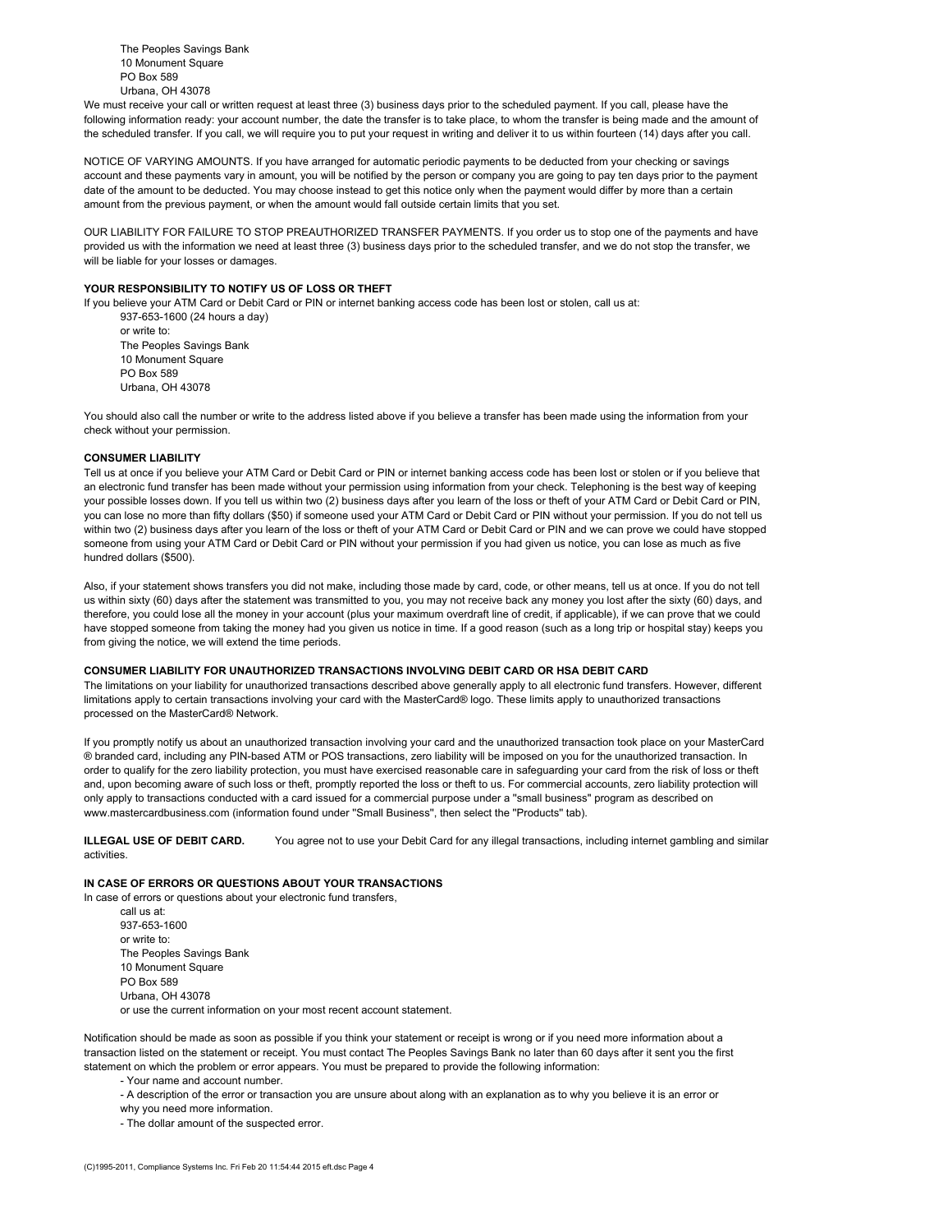The Peoples Savings Bank 10 Monument Square PO Box 589 Urbana, OH 43078

We must receive your call or written request at least three (3) business days prior to the scheduled payment. If you call, please have the following information ready: your account number, the date the transfer is to take place, to whom the transfer is being made and the amount of the scheduled transfer. If you call, we will require you to put your request in writing and deliver it to us within fourteen (14) days after you call.

NOTICE OF VARYING AMOUNTS. If you have arranged for automatic periodic payments to be deducted from your checking or savings account and these payments vary in amount, you will be notified by the person or company you are going to pay ten days prior to the payment date of the amount to be deducted. You may choose instead to get this notice only when the payment would differ by more than a certain amount from the previous payment, or when the amount would fall outside certain limits that you set.

OUR LIABILITY FOR FAILURE TO STOP PREAUTHORIZED TRANSFER PAYMENTS. If you order us to stop one of the payments and have provided us with the information we need at least three (3) business days prior to the scheduled transfer, and we do not stop the transfer, we will be liable for your losses or damages.

## **YOUR RESPONSIBILITY TO NOTIFY US OF LOSS OR THEFT**

If you believe your ATM Card or Debit Card or PIN or internet banking access code has been lost or stolen, call us at: 937-653-1600 (24 hours a day)

or write to: The Peoples Savings Bank 10 Monument Square PO Box 589 Urbana, OH 43078

You should also call the number or write to the address listed above if you believe a transfer has been made using the information from your check without your permission.

#### **CONSUMER LIABILITY**

Tell us at once if you believe your ATM Card or Debit Card or PIN or internet banking access code has been lost or stolen or if you believe that an electronic fund transfer has been made without your permission using information from your check. Telephoning is the best way of keeping your possible losses down. If you tell us within two (2) business days after you learn of the loss or theft of your ATM Card or Debit Card or PIN, you can lose no more than fifty dollars (\$50) if someone used your ATM Card or Debit Card or PIN without your permission. If you do not tell us within two (2) business days after you learn of the loss or theft of your ATM Card or Debit Card or PIN and we can prove we could have stopped someone from using your ATM Card or Debit Card or PIN without your permission if you had given us notice, you can lose as much as five hundred dollars (\$500).

Also, if your statement shows transfers you did not make, including those made by card, code, or other means, tell us at once. If you do not tell us within sixty (60) days after the statement was transmitted to you, you may not receive back any money you lost after the sixty (60) days, and therefore, you could lose all the money in your account (plus your maximum overdraft line of credit, if applicable), if we can prove that we could have stopped someone from taking the money had you given us notice in time. If a good reason (such as a long trip or hospital stay) keeps you from giving the notice, we will extend the time periods.

### **CONSUMER LIABILITY FOR UNAUTHORIZED TRANSACTIONS INVOLVING DEBIT CARD OR HSA DEBIT CARD**

The limitations on your liability for unauthorized transactions described above generally apply to all electronic fund transfers. However, different limitations apply to certain transactions involving your card with the MasterCard® logo. These limits apply to unauthorized transactions processed on the MasterCard® Network.

If you promptly notify us about an unauthorized transaction involving your card and the unauthorized transaction took place on your MasterCard ® branded card, including any PIN-based ATM or POS transactions, zero liability will be imposed on you for the unauthorized transaction. In order to qualify for the zero liability protection, you must have exercised reasonable care in safeguarding your card from the risk of loss or theft and, upon becoming aware of such loss or theft, promptly reported the loss or theft to us. For commercial accounts, zero liability protection will only apply to transactions conducted with a card issued for a commercial purpose under a ''small business'' program as described on www.mastercardbusiness.com (information found under ''Small Business'', then select the ''Products'' tab).

**ILLEGAL USE OF DEBIT CARD.** You agree not to use your Debit Card for any illegal transactions, including internet gambling and similar activities.

# **IN CASE OF ERRORS OR QUESTIONS ABOUT YOUR TRANSACTIONS**

In case of errors or questions about your electronic fund transfers, call us at: 937-653-1600 or write to: The Peoples Savings Bank 10 Monument Square PO Box 589 Urbana, OH 43078 or use the current information on your most recent account statement.

Notification should be made as soon as possible if you think your statement or receipt is wrong or if you need more information about a transaction listed on the statement or receipt. You must contact The Peoples Savings Bank no later than 60 days after it sent you the first statement on which the problem or error appears. You must be prepared to provide the following information:

- Your name and account number.

- A description of the error or transaction you are unsure about along with an explanation as to why you believe it is an error or
- why you need more information.
- The dollar amount of the suspected error.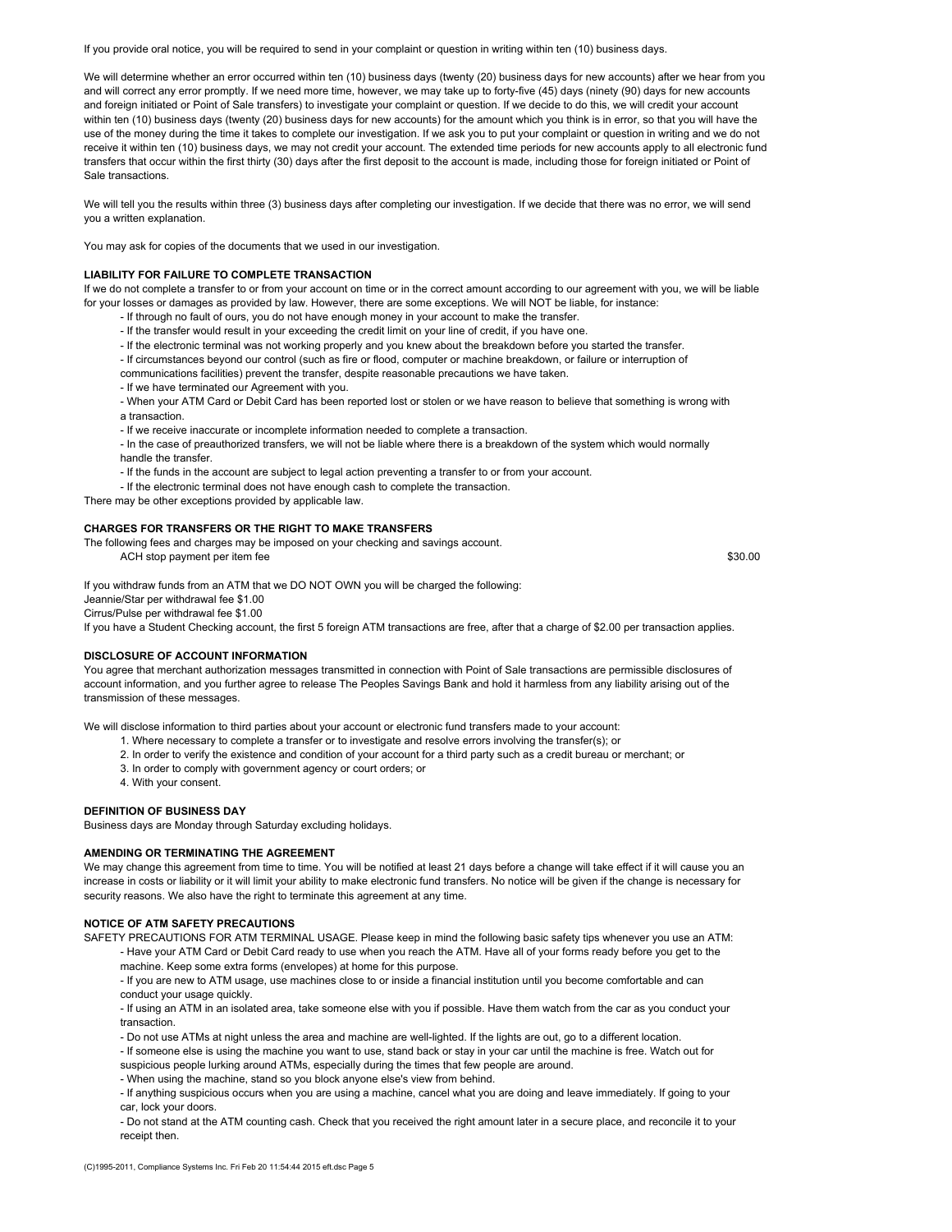If you provide oral notice, you will be required to send in your complaint or question in writing within ten (10) business days.

We will determine whether an error occurred within ten (10) business days (twenty (20) business days for new accounts) after we hear from you and will correct any error promptly. If we need more time, however, we may take up to forty-five (45) days (ninety (90) days for new accounts and foreign initiated or Point of Sale transfers) to investigate your complaint or question. If we decide to do this, we will credit your account within ten (10) business days (twenty (20) business days for new accounts) for the amount which you think is in error, so that you will have the use of the money during the time it takes to complete our investigation. If we ask you to put your complaint or question in writing and we do not receive it within ten (10) business days, we may not credit your account. The extended time periods for new accounts apply to all electronic fund transfers that occur within the first thirty (30) days after the first deposit to the account is made, including those for foreign initiated or Point of Sale transactions.

We will tell you the results within three (3) business days after completing our investigation. If we decide that there was no error, we will send you a written explanation.

You may ask for copies of the documents that we used in our investigation.

### **LIABILITY FOR FAILURE TO COMPLETE TRANSACTION**

If we do not complete a transfer to or from your account on time or in the correct amount according to our agreement with you, we will be liable for your losses or damages as provided by law. However, there are some exceptions. We will NOT be liable, for instance:

- If through no fault of ours, you do not have enough money in your account to make the transfer.
- If the transfer would result in your exceeding the credit limit on your line of credit, if you have one.
- If the electronic terminal was not working properly and you knew about the breakdown before you started the transfer.
- If circumstances beyond our control (such as fire or flood, computer or machine breakdown, or failure or interruption of
- communications facilities) prevent the transfer, despite reasonable precautions we have taken.
- If we have terminated our Agreement with you.
- When your ATM Card or Debit Card has been reported lost or stolen or we have reason to believe that something is wrong with
- a transaction.
- If we receive inaccurate or incomplete information needed to complete a transaction.
- In the case of preauthorized transfers, we will not be liable where there is a breakdown of the system which would normally handle the transfer.
- If the funds in the account are subject to legal action preventing a transfer to or from your account.
- If the electronic terminal does not have enough cash to complete the transaction.
- There may be other exceptions provided by applicable law.

#### **CHARGES FOR TRANSFERS OR THE RIGHT TO MAKE TRANSFERS**

The following fees and charges may be imposed on your checking and savings account. ACH stop payment per item fee \$30.00

If you withdraw funds from an ATM that we DO NOT OWN you will be charged the following: Jeannie/Star per withdrawal fee \$1.00 Cirrus/Pulse per withdrawal fee \$1.00

If you have a Student Checking account, the first 5 foreign ATM transactions are free, after that a charge of \$2.00 per transaction applies.

## **DISCLOSURE OF ACCOUNT INFORMATION**

You agree that merchant authorization messages transmitted in connection with Point of Sale transactions are permissible disclosures of account information, and you further agree to release The Peoples Savings Bank and hold it harmless from any liability arising out of the transmission of these messages.

We will disclose information to third parties about your account or electronic fund transfers made to your account:

- 1. Where necessary to complete a transfer or to investigate and resolve errors involving the transfer(s); or
- 2. In order to verify the existence and condition of your account for a third party such as a credit bureau or merchant; or
- 3. In order to comply with government agency or court orders; or
- 4. With your consent.

## **DEFINITION OF BUSINESS DAY**

Business days are Monday through Saturday excluding holidays.

### **AMENDING OR TERMINATING THE AGREEMENT**

We may change this agreement from time to time. You will be notified at least 21 days before a change will take effect if it will cause you an increase in costs or liability or it will limit your ability to make electronic fund transfers. No notice will be given if the change is necessary for security reasons. We also have the right to terminate this agreement at any time.

### **NOTICE OF ATM SAFETY PRECAUTIONS**

SAFETY PRECAUTIONS FOR ATM TERMINAL USAGE. Please keep in mind the following basic safety tips whenever you use an ATM: - Have your ATM Card or Debit Card ready to use when you reach the ATM. Have all of your forms ready before you get to the

machine. Keep some extra forms (envelopes) at home for this purpose.

- If you are new to ATM usage, use machines close to or inside a financial institution until you become comfortable and can conduct your usage quickly.

- If using an ATM in an isolated area, take someone else with you if possible. Have them watch from the car as you conduct your transaction.

- Do not use ATMs at night unless the area and machine are well-lighted. If the lights are out, go to a different location.

- If someone else is using the machine you want to use, stand back or stay in your car until the machine is free. Watch out for suspicious people lurking around ATMs, especially during the times that few people are around.

- When using the machine, stand so you block anyone else's view from behind.
- If anything suspicious occurs when you are using a machine, cancel what you are doing and leave immediately. If going to your car, lock your doors.

- Do not stand at the ATM counting cash. Check that you received the right amount later in a secure place, and reconcile it to your receipt then.